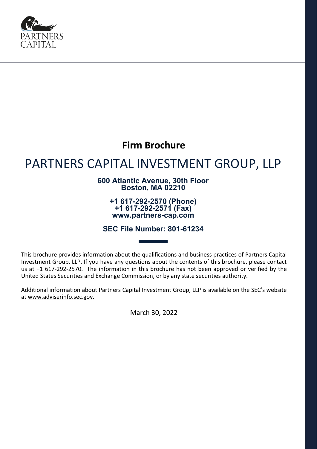

## **Firm Brochure**

# PARTNERS CAPITAL INVESTMENT GROUP, LLP

### **600 Atlantic Avenue, 30th Floor Boston, MA 02210**

**+1 617-292-2570 (Phone) +1 617-292-2571 (Fax) www.partners-cap.com**

**SEC File Number: 801-61234**

This brochure provides information about the qualifications and business practices of Partners Capital Investment Group, LLP. If you have any questions about the contents of this brochure, please contact us at +1 617-292-2570. The information in this brochure has not been approved or verified by the United States Securities and Exchange Commission, or by any state securities authority.

Additional information about Partners Capital Investment Group, LLP is available on the SEC's website at [www.adviserinfo.sec.gov.](http://www.adviserinfo.sec.gov/)

March 30, 2022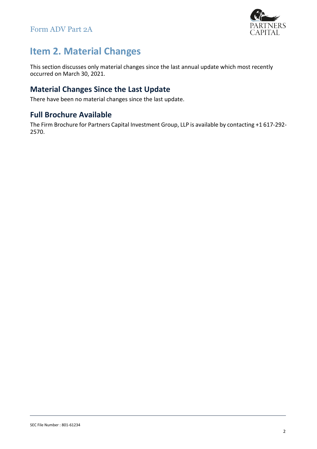

## <span id="page-1-0"></span>**Item 2. Material Changes**

This section discusses only material changes since the last annual update which most recently occurred on March 30, 2021.

### <span id="page-1-1"></span>**Material Changes Since the Last Update**

There have been no material changes since the last update.

### <span id="page-1-2"></span>**Full Brochure Available**

The Firm Brochure for Partners Capital Investment Group, LLP is available by contacting +1 617-292- 2570.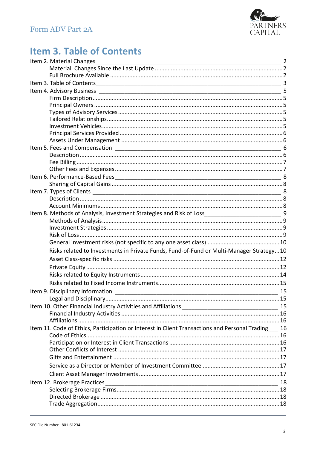

## <span id="page-2-0"></span>**Item 3. Table of Contents**

| Item 2. Material Changes 22 and 22 and 22 and 23 and 23 and 24 and 25 and 25 and 25 and 25 and 25 and 25 and 2 |  |
|----------------------------------------------------------------------------------------------------------------|--|
|                                                                                                                |  |
|                                                                                                                |  |
|                                                                                                                |  |
|                                                                                                                |  |
|                                                                                                                |  |
|                                                                                                                |  |
|                                                                                                                |  |
|                                                                                                                |  |
|                                                                                                                |  |
|                                                                                                                |  |
|                                                                                                                |  |
|                                                                                                                |  |
|                                                                                                                |  |
|                                                                                                                |  |
|                                                                                                                |  |
|                                                                                                                |  |
|                                                                                                                |  |
|                                                                                                                |  |
|                                                                                                                |  |
|                                                                                                                |  |
| Item 8. Methods of Analysis, Investment Strategies and Risk of Loss________________________________9           |  |
|                                                                                                                |  |
|                                                                                                                |  |
|                                                                                                                |  |
|                                                                                                                |  |
| Risks related to Investments in Private Funds, Fund-of-Fund or Multi-Manager Strategy10                        |  |
|                                                                                                                |  |
|                                                                                                                |  |
|                                                                                                                |  |
|                                                                                                                |  |
|                                                                                                                |  |
|                                                                                                                |  |
|                                                                                                                |  |
|                                                                                                                |  |
|                                                                                                                |  |
| Item 11. Code of Ethics, Participation or Interest in Client Transactions and Personal Trading___ 16           |  |
|                                                                                                                |  |
|                                                                                                                |  |
|                                                                                                                |  |
|                                                                                                                |  |
|                                                                                                                |  |
|                                                                                                                |  |
| Item 12. Brokerage Practices                                                                                   |  |
|                                                                                                                |  |
|                                                                                                                |  |
|                                                                                                                |  |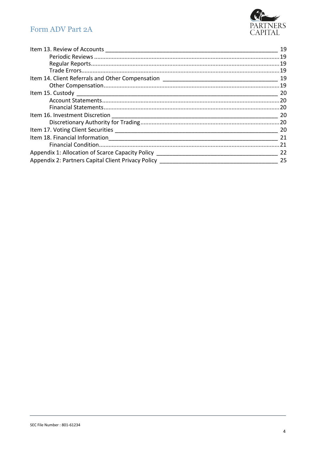

|                                                                                  | -20 |
|----------------------------------------------------------------------------------|-----|
|                                                                                  |     |
|                                                                                  |     |
| Appendix 1: Allocation of Scarce Capacity Policy _______________________________ | 22  |
| Appendix 2: Partners Capital Client Privacy Policy _____________________________ | -25 |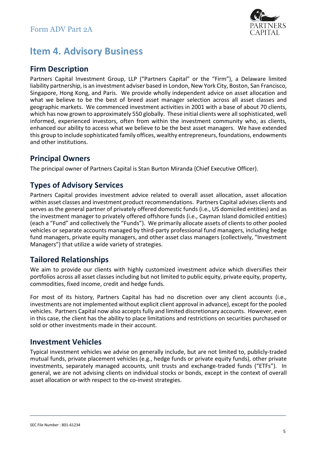

## <span id="page-4-0"></span>**Item 4. Advisory Business**

### <span id="page-4-1"></span>**Firm Description**

Partners Capital Investment Group, LLP ("Partners Capital" or the "Firm"), a Delaware limited liability partnership, is an investment adviser based in London, New York City, Boston, San Francisco, Singapore, Hong Kong, and Paris. We provide wholly independent advice on asset allocation and what we believe to be the best of breed asset manager selection across all asset classes and geographic markets. We commenced investment activities in 2001 with a base of about 70 clients, which has now grown to approximately 550 globally. These initial clients were all sophisticated, well informed, experienced investors, often from within the investment community who, as clients, enhanced our ability to access what we believe to be the best asset managers. We have extended this group to include sophisticated family offices, wealthy entrepreneurs, foundations, endowments and other institutions.

### <span id="page-4-2"></span>**Principal Owners**

The principal owner of Partners Capital is Stan Burton Miranda (Chief Executive Officer).

### <span id="page-4-3"></span>**Types of Advisory Services**

Partners Capital provides investment advice related to overall asset allocation, asset allocation within asset classes and investment product recommendations. Partners Capital advises clients and serves as the general partner of privately offered domestic funds (i.e., US domiciled entities) and as the investment manager to privately offered offshore funds (i.e., Cayman Island domiciled entities) (each a "Fund" and collectively the "Funds"). We primarily allocate assets of clientsto other pooled vehicles or separate accounts managed by third-party professional fund managers, including hedge fund managers, private equity managers, and other asset class managers (collectively, "Investment Managers") that utilize a wide variety of strategies.

### <span id="page-4-4"></span>**Tailored Relationships**

We aim to provide our clients with highly customized investment advice which diversifies their portfolios across all asset classes including but not limited to public equity, private equity, property, commodities, fixed income, credit and hedge funds.

For most of its history, Partners Capital has had no discretion over any client accounts (i.e., investments are not implemented without explicit client approval in advance), except for the pooled vehicles. Partners Capital now also accepts fully and limited discretionary accounts. However, even in this case, the client has the ability to place limitations and restrictions on securities purchased or sold or other investments made in their account.

### <span id="page-4-5"></span>**Investment Vehicles**

Typical investment vehicles we advise on generally include, but are not limited to, publicly-traded mutual funds, private placement vehicles (e.g., hedge funds or private equity funds), other private investments, separately managed accounts, unit trusts and exchange-traded funds ("ETFs"). In general, we are not advising clients on individual stocks or bonds, except in the context of overall asset allocation or with respect to the co-invest strategies.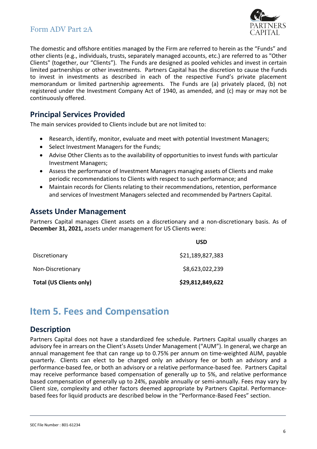

The domestic and offshore entities managed by the Firm are referred to herein as the "Funds" and other clients (e.g., individuals, trusts, separately managed accounts, etc.) are referred to as "Other Clients" (together, our "Clients"). The Funds are designed as pooled vehicles and invest in certain limited partnerships or other investments. Partners Capital has the discretion to cause the Funds to invest in investments as described in each of the respective Fund's private placement memorandum or limited partnership agreements. The Funds are (a) privately placed, (b) not registered under the Investment Company Act of 1940, as amended, and (c) may or may not be continuously offered.

### <span id="page-5-0"></span>**Principal Services Provided**

The main services provided to Clients include but are not limited to:

- Research, identify, monitor, evaluate and meet with potential Investment Managers;
- Select Investment Managers for the Funds;
- Advise Other Clients as to the availability of opportunities to invest funds with particular Investment Managers;
- Assess the performance of Investment Managers managing assets of Clients and make periodic recommendations to Clients with respect to such performance; and
- Maintain records for Clients relating to their recommendations, retention, performance and services of Investment Managers selected and recommended by Partners Capital.

### <span id="page-5-1"></span>**Assets Under Management**

Partners Capital manages Client assets on a discretionary and a non-discretionary basis. As of **December 31, 2021,** assets under management for US Clients were:

|                                | <b>USD</b>       |
|--------------------------------|------------------|
| Discretionary                  | \$21,189,827,383 |
| Non-Discretionary              | \$8,623,022,239  |
| <b>Total (US Clients only)</b> | \$29,812,849,622 |

## <span id="page-5-2"></span>**Item 5. Fees and Compensation**

### <span id="page-5-3"></span>**Description**

Partners Capital does not have a standardized fee schedule. Partners Capital usually charges an advisory fee in arrears on the Client's Assets Under Management ("AUM"). In general, we charge an annual management fee that can range up to 0.75% per annum on time-weighted AUM, payable quarterly. Clients can elect to be charged only an advisory fee or both an advisory and a performance-based fee, or both an advisory or a relative performance-based fee. Partners Capital may receive performance based compensation of generally up to 5%, and relative performance based compensation of generally up to 24%, payable annually or semi-annually. Fees may vary by Client size, complexity and other factors deemed appropriate by Partners Capital. Performancebased fees for liquid products are described below in the "Performance-Based Fees" section.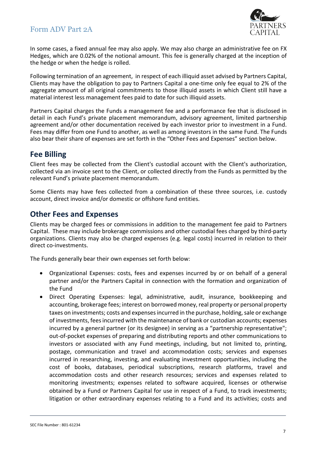

In some cases, a fixed annual fee may also apply. We may also charge an administrative fee on FX Hedges, which are 0.02% of the notional amount. This fee is generally charged at the inception of the hedge or when the hedge is rolled.

Following termination of an agreement, in respect of each illiquid asset advised by Partners Capital, Clients may have the obligation to pay to Partners Capital a one-time only fee equal to 2% of the aggregate amount of all original commitments to those illiquid assets in which Client still have a material interest less management fees paid to date for such illiquid assets.

Partners Capital charges the Funds a management fee and a performance fee that is disclosed in detail in each Fund's private placement memorandum, advisory agreement, limited partnership agreement and/or other documentation received by each investor prior to investment in a Fund. Fees may differ from one Fund to another, as well as among investors in the same Fund. The Funds also bear their share of expenses are set forth in the "Other Fees and Expenses" section below.

### <span id="page-6-0"></span>**Fee Billing**

Client fees may be collected from the Client's custodial account with the Client's authorization, collected via an invoice sent to the Client, or collected directly from the Funds as permitted by the relevant Fund's private placement memorandum.

Some Clients may have fees collected from a combination of these three sources, i.e. custody account, direct invoice and/or domestic or offshore fund entities.

### <span id="page-6-1"></span>**Other Fees and Expenses**

Clients may be charged fees or commissions in addition to the management fee paid to Partners Capital. These may include brokerage commissions and other custodial fees charged by third-party organizations. Clients may also be charged expenses (e.g. legal costs) incurred in relation to their direct co-investments.

The Funds generally bear their own expenses set forth below:

- Organizational Expenses: costs, fees and expenses incurred by or on behalf of a general partner and/or the Partners Capital in connection with the formation and organization of the Fund
- Direct Operating Expenses: legal, administrative, audit, insurance, bookkeeping and accounting, brokerage fees; interest on borrowed money, real property or personal property taxes on investments; costs and expenses incurred in the purchase, holding, sale or exchange of investments, fees incurred with the maintenance of bank or custodian accounts; expenses incurred by a general partner (or its designee) in serving as a "partnership representative"; out-of-pocket expenses of preparing and distributing reports and other communications to investors or associated with any Fund meetings, including, but not limited to, printing, postage, communication and travel and accommodation costs; services and expenses incurred in researching, investing, and evaluating investment opportunities, including the cost of books, databases, periodical subscriptions, research platforms, travel and accommodation costs and other research resources; services and expenses related to monitoring investments; expenses related to software acquired, licenses or otherwise obtained by a Fund or Partners Capital for use in respect of a Fund, to track investments; litigation or other extraordinary expenses relating to a Fund and its activities; costs and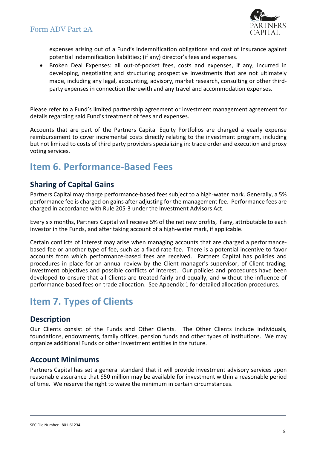

expenses arising out of a Fund's indemnification obligations and cost of insurance against potential indemnification liabilities; (if any) director's fees and expenses.

• Broken Deal Expenses: all out-of-pocket fees, costs and expenses, if any, incurred in developing, negotiating and structuring prospective investments that are not ultimately made, including any legal, accounting, advisory, market research, consulting or other thirdparty expenses in connection therewith and any travel and accommodation expenses.

Please refer to a Fund's limited partnership agreement or investment management agreement for details regarding said Fund's treatment of fees and expenses.

Accounts that are part of the Partners Capital Equity Portfolios are charged a yearly expense reimbursement to cover incremental costs directly relating to the investment program, including but not limited to costs of third party providers specializing in: trade order and execution and proxy voting services.

## <span id="page-7-0"></span>**Item 6. Performance-Based Fees**

### <span id="page-7-1"></span>**Sharing of Capital Gains**

Partners Capital may charge performance-based fees subject to a high-water mark. Generally, a 5% performance fee is charged on gains after adjusting for the management fee. Performance fees are charged in accordance with Rule 205-3 under the Investment Advisors Act.

Every six months, Partners Capital will receive 5% of the net new profits, if any, attributable to each investor in the Funds, and after taking account of a high-water mark, if applicable.

Certain conflicts of interest may arise when managing accounts that are charged a performancebased fee or another type of fee, such as a fixed-rate fee. There is a potential incentive to favor accounts from which performance-based fees are received. Partners Capital has policies and procedures in place for an annual review by the Client manager's supervisor, of Client trading, investment objectives and possible conflicts of interest. Our policies and procedures have been developed to ensure that all Clients are treated fairly and equally, and without the influence of performance-based fees on trade allocation. See Appendix 1 for detailed allocation procedures.

## <span id="page-7-2"></span>**Item 7. Types of Clients**

### <span id="page-7-3"></span>**Description**

Our Clients consist of the Funds and Other Clients. The Other Clients include individuals, foundations, endowments, family offices, pension funds and other types of institutions. We may organize additional Funds or other investment entities in the future.

### <span id="page-7-4"></span>**Account Minimums**

Partners Capital has set a general standard that it will provide investment advisory services upon reasonable assurance that \$50 million may be available for investment within a reasonable period of time. We reserve the right to waive the minimum in certain circumstances.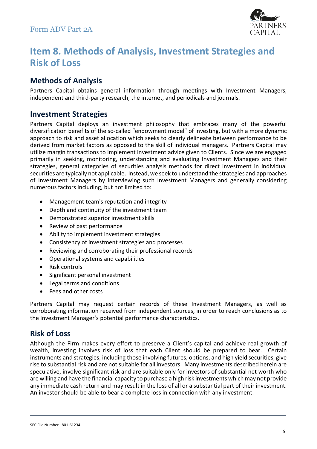

## <span id="page-8-0"></span>**Item 8. Methods of Analysis, Investment Strategies and Risk of Loss**

### <span id="page-8-1"></span>**Methods of Analysis**

Partners Capital obtains general information through meetings with Investment Managers, independent and third-party research, the internet, and periodicals and journals.

### <span id="page-8-2"></span>**Investment Strategies**

Partners Capital deploys an investment philosophy that embraces many of the powerful diversification benefits of the so-called "endowment model" of investing, but with a more dynamic approach to risk and asset allocation which seeks to clearly delineate between performance to be derived from market factors as opposed to the skill of individual managers. Partners Capital may utilize margin transactions to implement investment advice given to Clients. Since we are engaged primarily in seeking, monitoring, understanding and evaluating Investment Managers and their strategies, general categories of securities analysis methods for direct investment in individual securities are typically not applicable. Instead, we seek to understand the strategies and approaches of Investment Managers by interviewing such Investment Managers and generally considering numerous factors including, but not limited to:

- Management team's reputation and integrity
- Depth and continuity of the investment team
- Demonstrated superior investment skills
- Review of past performance
- Ability to implement investment strategies
- Consistency of investment strategies and processes
- Reviewing and corroborating their professional records
- Operational systems and capabilities
- Risk controls
- Significant personal investment
- Legal terms and conditions
- Fees and other costs

Partners Capital may request certain records of these Investment Managers, as well as corroborating information received from independent sources, in order to reach conclusions as to the Investment Manager's potential performance characteristics.

### <span id="page-8-3"></span>**Risk of Loss**

Although the Firm makes every effort to preserve a Client's capital and achieve real growth of wealth, investing involves risk of loss that each Client should be prepared to bear. Certain instruments and strategies, including those involving futures, options, and high yield securities, give rise to substantial risk and are not suitable for all investors. Many investments described herein are speculative, involve significant risk and are suitable only for investors of substantial net worth who are willing and have the financial capacity to purchase a high risk investments which may not provide any immediate cash return and may result in the loss of all or a substantial part of their investment. An investor should be able to bear a complete loss in connection with any investment.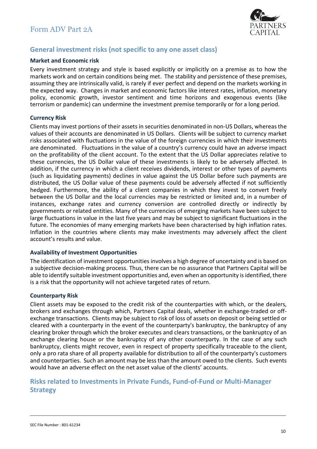

### <span id="page-9-0"></span>**General investment risks (not specific to any one asset class)**

#### **Market and Economic risk**

Every investment strategy and style is based explicitly or implicitly on a premise as to how the markets work and on certain conditions being met. The stability and persistence of these premises, assuming they are intrinsically valid, is rarely if ever perfect and depend on the markets working in the expected way. Changes in market and economic factors like interest rates, inflation, monetary policy, economic growth, investor sentiment and time horizons and exogenous events (like terrorism or pandemic) can undermine the investment premise temporarily or for a long period.

#### **Currency Risk**

Clients may invest portions of their assets in securities denominated in non-US Dollars, whereas the values of their accounts are denominated in US Dollars. Clients will be subject to currency market risks associated with fluctuations in the value of the foreign currencies in which their investments are denominated. Fluctuations in the value of a country's currency could have an adverse impact on the profitability of the client account. To the extent that the US Dollar appreciates relative to these currencies, the US Dollar value of these investments is likely to be adversely affected. In addition, if the currency in which a client receives dividends, interest or other types of payments (such as liquidating payments) declines in value against the US Dollar before such payments are distributed, the US Dollar value of these payments could be adversely affected if not sufficiently hedged. Furthermore, the ability of a client companies in which they invest to convert freely between the US Dollar and the local currencies may be restricted or limited and, in a number of instances, exchange rates and currency conversion are controlled directly or indirectly by governments or related entities. Many of the currencies of emerging markets have been subject to large fluctuations in value in the last five years and may be subject to significant fluctuations in the future. The economies of many emerging markets have been characterised by high inflation rates. Inflation in the countries where clients may make investments may adversely affect the client account's results and value.

#### **Availability of Investment Opportunities**

The identification of investment opportunities involves a high degree of uncertainty and is based on a subjective decision-making process. Thus, there can be no assurance that Partners Capital will be able to identify suitable investment opportunities and, even when an opportunity is identified, there is a risk that the opportunity will not achieve targeted rates of return.

#### **Counterparty Risk**

Client assets may be exposed to the credit risk of the counterparties with which, or the dealers, brokers and exchanges through which, Partners Capital deals, whether in exchange-traded or offexchange transactions. Clients may be subject to risk of loss of assets on deposit or being settled or cleared with a counterparty in the event of the counterparty's bankruptcy, the bankruptcy of any clearing broker through which the broker executes and clears transactions, or the bankruptcy of an exchange clearing house or the bankruptcy of any other counterparty. In the case of any such bankruptcy, clients might recover, even in respect of property specifically traceable to the client, only a pro rata share of all property available for distribution to all of the counterparty's customers and counterparties. Such an amount may be less than the amount owed to the clients. Such events would have an adverse effect on the net asset value of the clients' accounts.

### <span id="page-9-1"></span>**Risks related to Investments in Private Funds, Fund-of-Fund or Multi-Manager Strategy**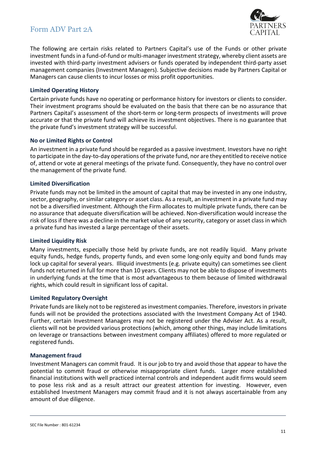

The following are certain risks related to Partners Capital's use of the Funds or other private investment funds in a fund-of-fund or multi-manager investment strategy, whereby client assets are invested with third-party investment advisers or funds operated by independent third-party asset management companies (Investment Managers). Subjective decisions made by Partners Capital or Managers can cause clients to incur losses or miss profit opportunities.

#### **Limited Operating History**

Certain private funds have no operating or performance history for investors or clients to consider. Their investment programs should be evaluated on the basis that there can be no assurance that Partners Capital's assessment of the short-term or long-term prospects of investments will prove accurate or that the private fund will achieve its investment objectives. There is no guarantee that the private fund's investment strategy will be successful.

#### **No or Limited Rights or Control**

An investment in a private fund should be regarded as a passive investment. Investors have no right to participate in the day-to-day operations of the private fund, nor are they entitled to receive notice of, attend or vote at general meetings of the private fund. Consequently, they have no control over the management of the private fund.

#### **Limited Diversification**

Private funds may not be limited in the amount of capital that may be invested in any one industry, sector, geography, or similar category or asset class. As a result, an investment in a private fund may not be a diversified investment. Although the Firm allocates to multiple private funds, there can be no assurance that adequate diversification will be achieved. Non-diversification would increase the risk of loss if there was a decline in the market value of any security, category or asset class in which a private fund has invested a large percentage of their assets.

#### **Limited Liquidity Risk**

Many investments, especially those held by private funds, are not readily liquid. Many private equity funds, hedge funds, property funds, and even some long-only equity and bond funds may lock up capital for several years. Illiquid investments (e.g. private equity) can sometimes see client funds not returned in full for more than 10 years. Clients may not be able to dispose of investments in underlying funds at the time that is most advantageous to them because of limited withdrawal rights, which could result in significant loss of capital.

#### **Limited Regulatory Oversight**

Private funds are likely not to be registered as investment companies. Therefore, investors in private funds will not be provided the protections associated with the Investment Company Act of 1940. Further, certain Investment Managers may not be registered under the Adviser Act. As a result, clients will not be provided various protections (which, among other things, may include limitations on leverage or transactions between investment company affiliates) offered to more regulated or registered funds.

#### **Management fraud**

Investment Managers can commit fraud. It is our job to try and avoid those that appear to have the potential to commit fraud or otherwise misappropriate client funds. Larger more established financial institutions with well practiced internal controls and independent audit firms would seem to pose less risk and as a result attract our greatest attention for investing. However, even established Investment Managers may commit fraud and it is not always ascertainable from any amount of due diligence.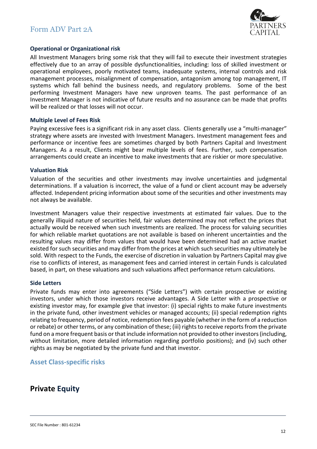

#### **Operational or Organizational risk**

All Investment Managers bring some risk that they will fail to execute their investment strategies effectively due to an array of possible dysfunctionalities, including: loss of skilled investment or operational employees, poorly motivated teams, inadequate systems, internal controls and risk management processes, misalignment of compensation, antagonism among top management, IT systems which fall behind the business needs, and regulatory problems. Some of the best performing Investment Managers have new unproven teams. The past performance of an Investment Manager is not indicative of future results and no assurance can be made that profits will be realized or that losses will not occur.

#### **Multiple Level of Fees Risk**

Paying excessive fees is a significant risk in any asset class. Clients generally use a "multi-manager" strategy where assets are invested with Investment Managers. Investment management fees and performance or incentive fees are sometimes charged by both Partners Capital and Investment Managers. As a result, Clients might bear multiple levels of fees. Further, such compensation arrangements could create an incentive to make investments that are riskier or more speculative.

#### **Valuation Risk**

Valuation of the securities and other investments may involve uncertainties and judgmental determinations. If a valuation is incorrect, the value of a fund or client account may be adversely affected. Independent pricing information about some of the securities and other investments may not always be available.

Investment Managers value their respective investments at estimated fair values. Due to the generally illiquid nature of securities held, fair values determined may not reflect the prices that actually would be received when such investments are realized. The process for valuing securities for which reliable market quotations are not available is based on inherent uncertainties and the resulting values may differ from values that would have been determined had an active market existed for such securities and may differ from the prices at which such securities may ultimately be sold. With respect to the Funds, the exercise of discretion in valuation by Partners Capital may give rise to conflicts of interest, as management fees and carried interest in certain Funds is calculated based, in part, on these valuations and such valuations affect performance return calculations.

#### **Side Letters**

Private funds may enter into agreements ("Side Letters") with certain prospective or existing investors, under which those investors receive advantages. A Side Letter with a prospective or existing investor may, for example give that investor: (i) special rights to make future investments in the private fund, other investment vehicles or managed accounts; (ii) special redemption rights relating to frequency, period of notice, redemption fees payable (whether in the form of a reduction or rebate) or other terms, or any combination of these; (iii) rights to receive reports from the private fund on a more frequent basis or that include information not provided to other investors (including, without limitation, more detailed information regarding portfolio positions); and (iv) such other rights as may be negotiated by the private fund and that investor.

#### <span id="page-11-0"></span>**Asset Class-specific risks**

### <span id="page-11-1"></span>**Private Equity**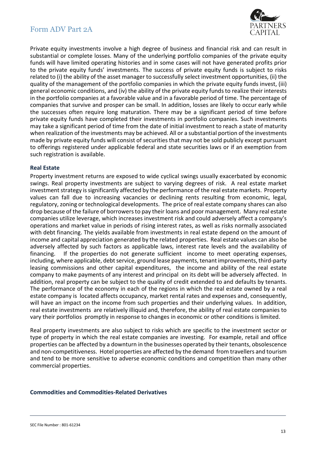

Private equity investments involve a high degree of business and financial risk and can result in substantial or complete losses. Many of the underlying portfolio companies of the private equity funds will have limited operating histories and in some cases will not have generated profits prior to the private equity funds' investments. The success of private equity funds is subject to risks related to (i) the ability of the asset manager to successfully select investment opportunities, (ii) the quality of the management of the portfolio companies in which the private equity funds invest, (iii) general economic conditions, and (iv) the ability of the private equity fundsto realize their interests in the portfolio companies at a favorable value and in a favorable period of time. The percentage of companies that survive and prosper can be small. In addition, losses are likely to occur early while the successes often require long maturation. There may be a significant period of time before private equity funds have completed their investments in portfolio companies. Such investments may take a significant period of time from the date of initial investment to reach a state of maturity when realization of the investments may be achieved. All or a substantial portion of the investments made by private equity funds will consist of securities that may not be sold publicly except pursuant to offerings registered under applicable federal and state securities laws or if an exemption from such registration is available.

#### **Real Estate**

Property investment returns are exposed to wide cyclical swings usually exacerbated by economic swings. Real property investments are subject to varying degrees of risk. A real estate market investment strategy is significantly affected by the performance of the real estate markets. Property values can fall due to increasing vacancies or declining rents resulting from economic, legal, regulatory, zoning or technological developments. The price of real estate company shares can also drop because of the failure of borrowers to pay their loans and poor management. Many real estate companies utilize leverage, which increases investment risk and could adversely affect a company's operations and market value in periods of rising interest rates, as well as risks normally associated with debt financing. The yields available from investments in real estate depend on the amount of income and capital appreciation generated by the related properties. Real estate values can also be adversely affected by such factors as applicable laws, interest rate levels and the availability of financing. If the properties do not generate sufficient income to meet operating expenses, including, where applicable, debt service, ground lease payments, tenant improvements, third-party leasing commissions and other capital expenditures, the income and ability of the real estate company to make payments of any interest and principal on its debt will be adversely affected. In addition, real property can be subject to the quality of credit extended to and defaults by tenants. The performance of the economy in each of the regions in which the real estate owned by a real estate company is located affects occupancy, market rental rates and expenses and, consequently, will have an impact on the income from such properties and their underlying values. In addition, real estate investments are relatively illiquid and, therefore, the ability of real estate companies to vary their portfolios promptly in response to changes in economic or other conditions is limited.

Real property investments are also subject to risks which are specific to the investment sector or type of property in which the real estate companies are investing. For example, retail and office properties can be affected by a downturn in the businesses operated by their tenants, obsolescence and non-competitiveness. Hotel properties are affected by the demand from travellers and tourism and tend to be more sensitive to adverse economic conditions and competition than many other commercial properties.

#### **Commodities and Commodities-Related Derivatives**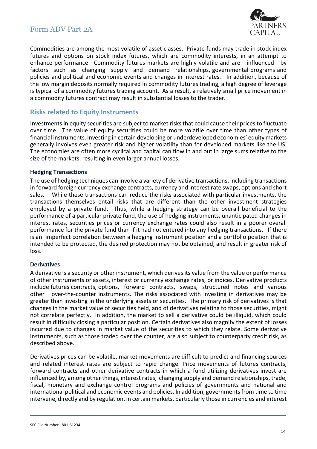

Commodities are among the most volatile of asset classes. Private funds may trade in stock index futures and options on stock index futures, which are commodity interests, in an attempt to enhance performance. Commodity futures markets are highly volatile and are influenced by factors such as changing supply and demand relationships, governmental programs and policies and political and economic events and changes in interest rates. In addition, because of the low margin deposits normally required in commodity futures trading, a high degree of leverage is typical of a commodity futures trading account. As a result, a relatively small price movement in a commodity futures contract may result in substantial losses to the trader.

#### <span id="page-13-0"></span>**Risks related to Equity Instruments**

Investments in equity securities are subject to market risks that could cause their prices to fluctuate over time. The value of equity securities could be more volatile over time than other types of financial instruments. Investing in certain developing or underdeveloped economies' equity markets generally involves even greater risk and higher volatility than for developed markets like the US. The economies are often more cyclical and capital can flow in and out in large sums relative to the size of the markets, resulting in even larger annual losses.

#### **Hedging Transactions**

The use of hedging techniques can involve a variety of derivative transactions, including transactions in forward foreign currency exchange contracts, currency and interest rate swaps, options and short sales. While these transactions can reduce the risks associated with particular investments, the transactions themselves entail risks that are different than the other investment strategies employed by a private fund. Thus, while a hedging strategy can be overall beneficial to the performance of a particular private fund, the use of hedging instruments, unanticipated changes in interest rates, securities prices or currency exchange rates could also result in a poorer overall performance for the private fund than if it had not entered into any hedging transactions. If there is an imperfect correlation between a hedging instrument position and a portfolio position that is intended to be protected, the desired protection may not be obtained, and result in greater risk of loss.

#### **Derivatives**

A derivative is a security or other instrument, which derives its value from the value or performance of other instruments or assets, interest or currency exchange rates, or indices. Derivative products include futures contracts, options, forward contracts, swaps, structured notes and various other over-the-counter instruments. The risks associated with investing in derivatives may be greater than investing in the underlying assets or securities. The primary risk of derivatives is that changes in the market value of securities held, and of derivatives relating to those securities, might not correlate perfectly. In addition, the market to sell a derivative could be illiquid, which could result in difficulty closing a particular position. Certain derivatives also magnify the extent of losses incurred due to changes in market value of the securities to which they relate. Some derivative instruments, such as those traded over the counter, are also subject to counterparty credit risk, as described above.

Derivatives prices can be volatile, market movements are difficult to predict and financing sources and related interest rates are subject to rapid change. Price movements of futures contracts, forward contracts and other derivative contracts in which a fund utilizing derivatives invest are influenced by, among other things, interest rates, changing supply and demand relationships, trade, fiscal, monetary and exchange control programs and policies of governments and national and international political and economic events and policies. In addition, governments from time to time intervene, directly and by regulation, in certain markets, particularly those in currencies and interest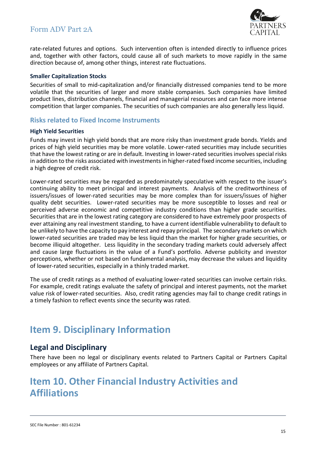

rate-related futures and options. Such intervention often is intended directly to influence prices and, together with other factors, could cause all of such markets to move rapidly in the same direction because of, among other things, interest rate fluctuations.

#### **Smaller Capitalization Stocks**

Securities of small to mid-capitalization and/or financially distressed companies tend to be more volatile that the securities of larger and more stable companies. Such companies have limited product lines, distribution channels, financial and managerial resources and can face more intense competition that larger companies. The securities of such companies are also generally less liquid.

#### <span id="page-14-0"></span>**Risks related to Fixed Income Instruments**

#### **High Yield Securities**

Funds may invest in high yield bonds that are more risky than investment grade bonds. Yields and prices of high yield securities may be more volatile. Lower-rated securities may include securities that have the lowest rating or are in default. Investing in lower-rated securities involves special risks in addition to the risks associated with investments in higher-rated fixed income securities, including a high degree of credit risk.

Lower-rated securities may be regarded as predominately speculative with respect to the issuer's continuing ability to meet principal and interest payments. Analysis of the creditworthiness of issuers/issues of lower-rated securities may be more complex than for issuers/issues of higher quality debt securities. Lower-rated securities may be more susceptible to losses and real or perceived adverse economic and competitive industry conditions than higher grade securities. Securities that are in the lowest rating category are considered to have extremely poor prospects of ever attaining any real investment standing, to have a current identifiable vulnerability to default to be unlikely to have the capacity to pay interest and repay principal. The secondary markets on which lower-rated securities are traded may be less liquid than the market for higher grade securities, or become illiquid altogether. Less liquidity in the secondary trading markets could adversely affect and cause large fluctuations in the value of a Fund's portfolio. Adverse publicity and investor perceptions, whether or not based on fundamental analysis, may decrease the values and liquidity of lower-rated securities, especially in a thinly traded market.

The use of credit ratings as a method of evaluating lower-rated securities can involve certain risks. For example, credit ratings evaluate the safety of principal and interest payments, not the market value risk of lower-rated securities. Also, credit rating agencies may fail to change credit ratings in a timely fashion to reflect events since the security was rated.

## <span id="page-14-1"></span>**Item 9. Disciplinary Information**

### <span id="page-14-2"></span>**Legal and Disciplinary**

There have been no legal or disciplinary events related to Partners Capital or Partners Capital employees or any affiliate of Partners Capital.

## <span id="page-14-3"></span>**Item 10. Other Financial Industry Activities and Affiliations**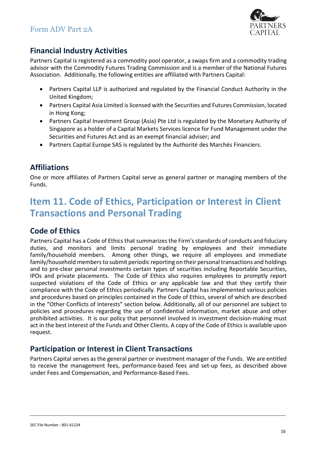

### <span id="page-15-0"></span>**Financial Industry Activities**

Partners Capital is registered as a commodity pool operator, a swaps firm and a commodity trading advisor with the Commodity Futures Trading Commission and is a member of the National Futures Association. Additionally, the following entities are affiliated with Partners Capital:

- Partners Capital LLP is authorized and regulated by the Financial Conduct Authority in the United Kingdom;
- Partners Capital Asia Limited is licensed with the Securities and Futures Commission, located in Hong Kong;
- Partners Capital Investment Group (Asia) Pte Ltd is regulated by the Monetary Authority of Singapore as a holder of a Capital Markets Services licence for Fund Management under the Securities and Futures Act and as an exempt financial adviser; and
- Partners Capital Europe SAS is regulated by the Authorité des Marchés Financiers.

### <span id="page-15-1"></span>**Affiliations**

One or more affiliates of Partners Capital serve as general partner or managing members of the Funds.

## <span id="page-15-2"></span>**Item 11. Code of Ethics, Participation or Interest in Client Transactions and Personal Trading**

### <span id="page-15-3"></span>**Code of Ethics**

Partners Capital has a Code of Ethics that summarizes the Firm's standards of conducts and fiduciary duties, and monitors and limits personal trading by employees and their immediate family/household members. Among other things, we require all employees and immediate family/household members to submit periodic reporting on their personal transactions and holdings and to pre-clear personal investments certain types of securities including Reportable Securities, IPOs and private placements. The Code of Ethics also requires employees to promptly report suspected violations of the Code of Ethics or any applicable law and that they certify their compliance with the Code of Ethics periodically. Partners Capital has implemented various policies and procedures based on principles contained in the Code of Ethics, several of which are described in the "Other Conflicts of Interests" section below. Additionally, all of our personnel are subject to policies and procedures regarding the use of confidential information, market abuse and other prohibited activities. It is our policy that personnel involved in investment decision-making must act in the best interest of the Funds and Other Clients. A copy of the Code of Ethics is available upon request.

### <span id="page-15-4"></span>**Participation or Interest in Client Transactions**

Partners Capital serves as the general partner or investment manager of the Funds. We are entitled to receive the management fees, performance-based fees and set-up fees, as described above under Fees and Compensation, and Performance-Based Fees.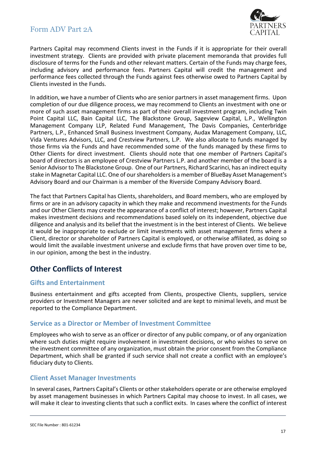

Partners Capital may recommend Clients invest in the Funds if it is appropriate for their overall investment strategy. Clients are provided with private placement memoranda that provides full disclosure of terms for the Funds and other relevant matters. Certain of the Funds may charge fees, including advisory and performance fees. Partners Capital will credit the management and performance fees collected through the Funds against fees otherwise owed to Partners Capital by Clients invested in the Funds.

In addition, we have a number of Clients who are senior partners in asset management firms. Upon completion of our due diligence process, we may recommend to Clients an investment with one or more of such asset management firms as part of their overall investment program, including Twin Point Capital LLC, Bain Capital LLC, The Blackstone Group, Sageview Capital, L.P., Wellington Management Company LLP, Related Fund Management, The Davis Companies, Centerbridge Partners, L.P., Enhanced Small Business Investment Company, Audax Management Company, LLC, Vida Ventures Advisors, LLC, and Crestview Partners, L.P. We also allocate to funds managed by those firms via the Funds and have recommended some of the funds managed by these firms to Other Clients for direct investment. Clients should note that one member of Partners Capital's board of directors is an employee of Crestview Partners L.P. and another member of the board is a Senior Advisor to The Blackstone Group. One of our Partners, Richard Scarinci, has an indirect equity stake in Magnetar Capital LLC. One of our shareholders is a member of BlueBay Asset Management's Advisory Board and our Chairman is a member of the Riverside Company Advisory Board.

The fact that Partners Capital has Clients, shareholders, and Board members, who are employed by firms or are in an advisory capacity in which they make and recommend investments for the Funds and our Other Clients may create the appearance of a conflict of interest; however, Partners Capital makes investment decisions and recommendations based solely on its independent, objective due diligence and analysis and its belief that the investment is in the best interest of Clients. We believe it would be inappropriate to exclude or limit investments with asset management firms where a Client, director or shareholder of Partners Capital is employed, or otherwise affiliated, as doing so would limit the available investment universe and exclude firms that have proven over time to be, in our opinion, among the best in the industry.

### <span id="page-16-0"></span>**Other Conflicts of Interest**

#### <span id="page-16-1"></span>**Gifts and Entertainment**

Business entertainment and gifts accepted from Clients, prospective Clients, suppliers, service providers or Investment Managers are never solicited and are kept to minimal levels, and must be reported to the Compliance Department.

#### <span id="page-16-2"></span>**Service as a Director or Member of Investment Committee**

Employees who wish to serve as an officer or director of any public company, or of any organization where such duties might require involvement in investment decisions, or who wishes to serve on the investment committee of any organization, must obtain the prior consent from the Compliance Department, which shall be granted if such service shall not create a conflict with an employee's fiduciary duty to Clients.

#### <span id="page-16-3"></span>**Client Asset Manager Investments**

In several cases, Partners Capital's Clients or other stakeholders operate or are otherwise employed by asset management businesses in which Partners Capital may choose to invest. In all cases, we will make it clear to investing clients that such a conflict exits. In cases where the conflict of interest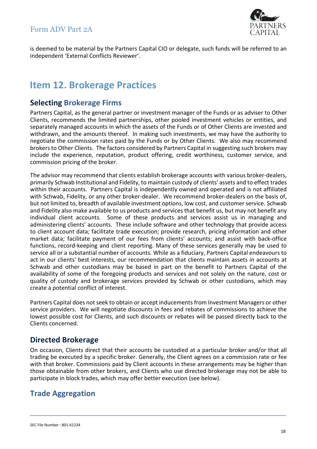

is deemed to be material by the Partners Capital CIO or delegate, such funds will be referred to an independent 'External Conflicts Reviewer'.

## <span id="page-17-0"></span>**Item 12. Brokerage Practices**

### <span id="page-17-1"></span>**Selecting Brokerage Firms**

Partners Capital, as the general partner or investment manager of the Funds or as adviser to Other Clients, recommends the limited partnerships, other pooled investment vehicles or entities, and separately managed accounts in which the assets of the Funds or of Other Clients are invested and withdrawn, and the amounts thereof. In making such investments, we may have the authority to negotiate the commission rates paid by the Funds or by Other Clients. We also may recommend brokers to Other Clients. The factors considered by Partners Capital in suggesting such brokers may include the experience, reputation, product offering, credit worthiness, customer service, and commission pricing of the broker.

The advisor may recommend that clients establish brokerage accounts with various broker-dealers, primarily Schwab Institutional and Fidelity, to maintain custody of clients' assets and to effect trades within their accounts. Partners Capital is independently owned and operated and is not affiliated with Schwab, Fidelity, or any other broker-dealer. We recommend broker-dealers on the basis of, but not limited to, breadth of available investment options, low cost, and customer service. Schwab and Fidelity also make available to us products and services that benefit us, but may not benefit any individual client accounts. Some of these products and services assist us in managing and administering clients' accounts. These include software and other technology that provide access to client account data; facilitate trade execution; provide research, pricing information and other market data; facilitate payment of our fees from clients' accounts; and assist with back-office functions, record-keeping and client reporting. Many of these services generally may be used to service all or a substantial number of accounts. While as a fiduciary, Partners Capital endeavours to act in our clients' best interests, our recommendation that clients maintain assets in accounts at Schwab and other custodians may be based in part on the benefit to Partners Capital of the availability of some of the foregoing products and services and not solely on the nature, cost or quality of custody and brokerage services provided by Schwab or other custodians, which may create a potential conflict of interest.

Partners Capital does not seek to obtain or accept inducements from Investment Managers or other service providers. We will negotiate discounts in fees and rebates of commissions to achieve the lowest possible cost for Clients, and such discounts or rebates will be passed directly back to the Clients concerned.

### <span id="page-17-2"></span>**Directed Brokerage**

On occasion, Clients direct that their accounts be custodied at a particular broker and/or that all trading be executed by a specific broker. Generally, the Client agrees on a commission rate or fee with that broker. Commissions paid by Client accounts in these arrangements may be higher than those obtainable from other brokers, and Clients who use directed brokerage may not be able to participate in block trades, which may offer better execution (see below).

### <span id="page-17-3"></span>**Trade Aggregation**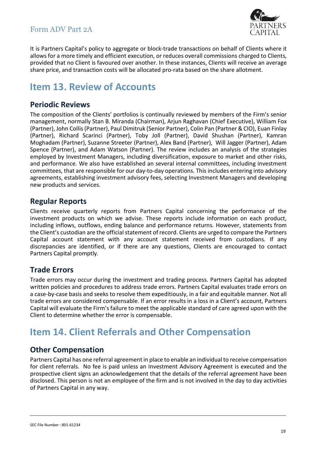

It is Partners Capital's policy to aggregate or block-trade transactions on behalf of Clients where it allows for a more timely and efficient execution, or reduces overall commissions charged to Clients, provided that no Client is favoured over another. In these instances, Clients will receive an average share price, and transaction costs will be allocated pro-rata based on the share allotment.

## <span id="page-18-0"></span>**Item 13. Review of Accounts**

### <span id="page-18-1"></span>**Periodic Reviews**

The composition of the Clients' portfolios is continually reviewed by members of the Firm's senior management, normally Stan B. Miranda (Chairman), Arjun Raghavan (Chief Executive), William Fox (Partner), John Collis (Partner), Paul Dimitruk (Senior Partner), Colin Pan (Partner & CIO), Euan Finlay (Partner), Richard Scarinci (Partner), Toby Joll (Partner), David Shushan (Partner), Kamran Moghadam (Partner), Suzanne Streeter (Partner), Alex Band (Partner), Will Jagger (Partner), Adam Spence (Partner), and Adam Watson (Partner). The review includes an analysis of the strategies employed by Investment Managers, including diversification, exposure to market and other risks, and performance. We also have established an several internal committees, including investment committees, that are responsible for our day-to-day operations. This includes entering into advisory agreements, establishing investment advisory fees, selecting Investment Managers and developing new products and services.

### <span id="page-18-2"></span>**Regular Reports**

Clients receive quarterly reports from Partners Capital concerning the performance of the investment products on which we advise. These reports include information on each product, including inflows, outflows, ending balance and performance returns. However, statements from the Client's custodian are the official statement of record. Clients are urged to compare the Partners Capital account statement with any account statement received from custodians. If any discrepancies are identified, or if there are any questions, Clients are encouraged to contact Partners Capital promptly.

### <span id="page-18-3"></span>**Trade Errors**

Trade errors may occur during the investment and trading process. Partners Capital has adopted written policies and procedures to address trade errors. Partners Capital evaluates trade errors on a case-by-case basis and seeks to resolve them expeditiously, in a fair and equitable manner. Not all trade errors are considered compensable. If an error results in a loss in a Client's account, Partners Capital will evaluate the Firm's failure to meet the applicable standard of care agreed upon with the Client to determine whether the error is compensable.

## <span id="page-18-4"></span>**Item 14. Client Referrals and Other Compensation**

### <span id="page-18-5"></span>**Other Compensation**

Partners Capital has one referral agreement in place to enable an individual to receive compensation for client referrals. No fee is paid unless an Investment Advisory Agreement is executed and the prospective client signs an acknowledgement that the details of the referral agreement have been disclosed. This person is not an employee of the firm and is not involved in the day to day activities of Partners Capital in any way.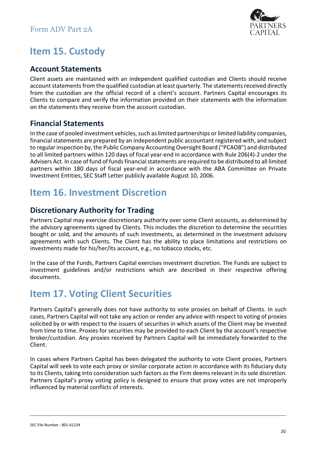

## <span id="page-19-0"></span>**Item 15. Custody**

### <span id="page-19-1"></span>**Account Statements**

Client assets are maintained with an independent qualified custodian and Clients should receive account statements from the qualified custodian at least quarterly. The statements received directly from the custodian are the official record of a client's account. Partners Capital encourages its Clients to compare and verify the information provided on their statements with the information on the statements they receive from the account custodian.

### <span id="page-19-2"></span>**Financial Statements**

In the case of pooled investment vehicles, such as limited partnerships or limited liability companies, financial statements are prepared by an independent public accountant registered with, and subject to regular inspection by, the Public Company Accounting Oversight Board ("PCAOB") and distributed to all limited partners within 120 days of fiscal year-end in accordance with Rule 206(4)-2 under the Advisers Act. In case of fund of funds financial statements are required to be distributed to all limited partners within 180 days of fiscal year-end in accordance with the ABA Committee on Private Investment Entities, SEC Staff Letter publicly available August 10, 2006.

## <span id="page-19-3"></span>**Item 16. Investment Discretion**

### <span id="page-19-4"></span>**Discretionary Authority for Trading**

Partners Capital may exercise discretionary authority over some Client accounts, as determined by the advisory agreements signed by Clients. This includes the discretion to determine the securities bought or sold, and the amounts of such investments, as determined in the investment advisory agreements with such Clients. The Client has the ability to place limitations and restrictions on investments made for his/her/its account, e.g., no tobacco stocks, etc.

In the case of the Funds, Partners Capital exercises investment discretion. The Funds are subject to investment guidelines and/or restrictions which are described in their respective offering documents.

## <span id="page-19-5"></span>**Item 17. Voting Client Securities**

Partners Capital's generally does not have authority to vote proxies on behalf of Clients. In such cases, Partners Capital will not take any action or render any advice with respect to voting of proxies solicited by or with respect to the issuers of securities in which assets of the Client may be invested from time to time. Proxies for securities may be provided to each Client by the account's respective broker/custodian. Any proxies received by Partners Capital will be immediately forwarded to the Client.

In cases where Partners Capital has been delegated the authority to vote Client proxies, Partners Capital will seek to vote each proxy or similar corporate action in accordance with its fiduciary duty to its Clients, taking into consideration such factors as the Firm deems relevant in its sole discretion. Partners Capital's proxy voting policy is designed to ensure that proxy votes are not improperly influenced by material conflicts of interests.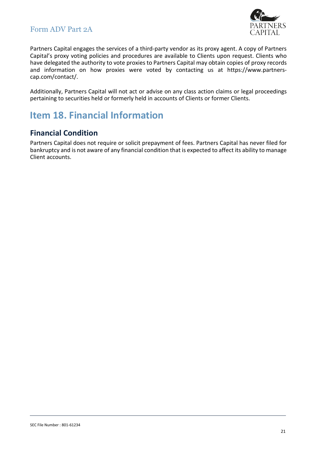

Partners Capital engages the services of a third-party vendor as its proxy agent. A copy of Partners Capital's proxy voting policies and procedures are available to Clients upon request. Clients who have delegated the authority to vote proxies to Partners Capital may obtain copies of proxy records and information on how proxies were voted by contacting us at https://www.partnerscap.com/contact/.

Additionally, Partners Capital will not act or advise on any class action claims or legal proceedings pertaining to securities held or formerly held in accounts of Clients or former Clients.

## <span id="page-20-0"></span>**Item 18. Financial Information**

### <span id="page-20-1"></span>**Financial Condition**

Partners Capital does not require or solicit prepayment of fees. Partners Capital has never filed for bankruptcy and is not aware of any financial condition that is expected to affect its ability to manage Client accounts.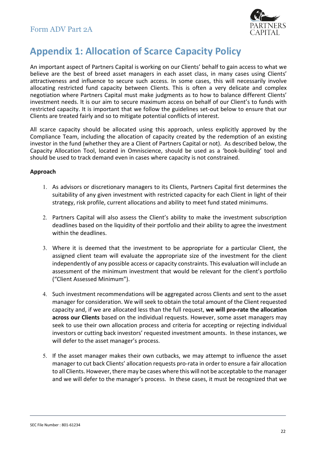

## <span id="page-21-0"></span>**Appendix 1: Allocation of Scarce Capacity Policy**

An important aspect of Partners Capital is working on our Clients' behalf to gain access to what we believe are the best of breed asset managers in each asset class, in many cases using Clients' attractiveness and influence to secure such access. In some cases, this will necessarily involve allocating restricted fund capacity between Clients. This is often a very delicate and complex negotiation where Partners Capital must make judgments as to how to balance different Clients' investment needs. It is our aim to secure maximum access on behalf of our Client's to funds with restricted capacity. It is important that we follow the guidelines set-out below to ensure that our Clients are treated fairly and so to mitigate potential conflicts of interest.

All scarce capacity should be allocated using this approach, unless explicitly approved by the Compliance Team, including the allocation of capacity created by the redemption of an existing investor in the fund (whether they are a Client of Partners Capital or not). As described below, the Capacity Allocation Tool, located in Omniscience, should be used as a 'book-building' tool and should be used to track demand even in cases where capacity is not constrained.

#### **Approach**

- 1. As advisors or discretionary managers to its Clients, Partners Capital first determines the suitability of any given investment with restricted capacity for each Client in light of their strategy, risk profile, current allocations and ability to meet fund stated minimums.
- 2. Partners Capital will also assess the Client's ability to make the investment subscription deadlines based on the liquidity of their portfolio and their ability to agree the investment within the deadlines.
- 3. Where it is deemed that the investment to be appropriate for a particular Client, the assigned client team will evaluate the appropriate size of the investment for the client independently of any possible access or capacity constraints. This evaluation will include an assessment of the minimum investment that would be relevant for the client's portfolio ("Client Assessed Minimum").
- 4. Such investment recommendations will be aggregated across Clients and sent to the asset manager for consideration. We will seek to obtain the total amount of the Client requested capacity and, if we are allocated less than the full request, **we will pro-rate the allocation across our Clients** based on the individual requests. However, some asset managers may seek to use their own allocation process and criteria for accepting or rejecting individual investors or cutting back investors' requested investment amounts. In these instances, we will defer to the asset manager's process.
- 5. If the asset manager makes their own cutbacks, we may attempt to influence the asset manager to cut back Clients' allocation requests pro-rata in order to ensure a fair allocation to all Clients. However, there may be cases where this will not be acceptable to the manager and we will defer to the manager's process. In these cases, it must be recognized that we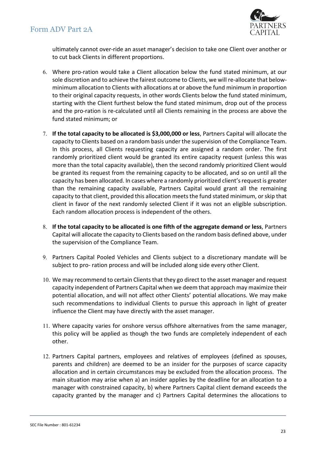

ultimately cannot over-ride an asset manager's decision to take one Client over another or to cut back Clients in different proportions.

- 6. Where pro-ration would take a Client allocation below the fund stated minimum, at our sole discretion and to achieve the fairest outcome to Clients, we will re-allocate that belowminimum allocation to Clients with allocations at or above the fund minimum in proportion to their original capacity requests, in other words Clients below the fund stated minimum, starting with the Client furthest below the fund stated minimum, drop out of the process and the pro-ration is re-calculated until all Clients remaining in the process are above the fund stated minimum; or
- 7. **If the total capacity to be allocated is \$3,000,000 or less**, Partners Capital will allocate the capacity to Clients based on a random basis under the supervision of the Compliance Team. In this process, all Clients requesting capacity are assigned a random order. The first randomly prioritized client would be granted its entire capacity request (unless this was more than the total capacity available), then the second randomly prioritized Client would be granted its request from the remaining capacity to be allocated, and so on until all the capacity has been allocated. In cases where a randomly prioritized client's request is greater than the remaining capacity available, Partners Capital would grant all the remaining capacity to that client, provided this allocation meets the fund stated minimum, or skip that client in favor of the next randomly selected Client if it was not an eligible subscription. Each random allocation process is independent of the others.
- 8. **If the total capacity to be allocated is one fifth of the aggregate demand or less**, Partners Capital will allocate the capacity to Clients based on the random basis defined above, under the supervision of the Compliance Team.
- 9. Partners Capital Pooled Vehicles and Clients subject to a discretionary mandate will be subject to pro- ration process and will be included along side every other Client.
- 10. We may recommend to certain Clients that they go direct to the asset manager and request capacity independent of Partners Capital when we deem that approach may maximize their potential allocation, and will not affect other Clients' potential allocations. We may make such recommendations to individual Clients to pursue this approach in light of greater influence the Client may have directly with the asset manager.
- 11. Where capacity varies for onshore versus offshore alternatives from the same manager, this policy will be applied as though the two funds are completely independent of each other.
- 12. Partners Capital partners, employees and relatives of employees (defined as spouses, parents and children) are deemed to be an insider for the purposes of scarce capacity allocation and in certain circumstances may be excluded from the allocation process. The main situation may arise when a) an insider applies by the deadline for an allocation to a manager with constrained capacity, b) where Partners Capital client demand exceeds the capacity granted by the manager and c) Partners Capital determines the allocations to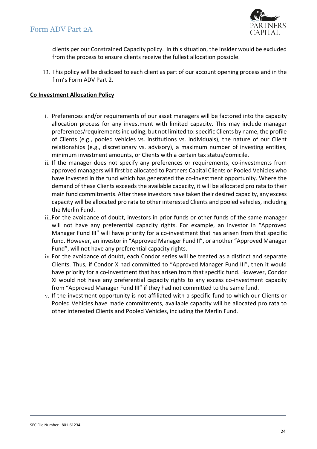

clients per our Constrained Capacity policy. In this situation, the insider would be excluded from the process to ensure clients receive the fullest allocation possible.

13. This policy will be disclosed to each client as part of our account opening process and in the firm's Form ADV Part 2.

#### **Co Investment Allocation Policy**

- i. Preferences and/or requirements of our asset managers will be factored into the capacity allocation process for any investment with limited capacity. This may include manager preferences/requirements including, but not limited to: specific Clients by name, the profile of Clients (e.g., pooled vehicles vs. institutions vs. individuals), the nature of our Client relationships (e.g., discretionary vs. advisory), a maximum number of investing entities, minimum investment amounts, or Clients with a certain tax status/domicile.
- ii. If the manager does not specify any preferences or requirements, co-investments from approved managers will first be allocated to Partners Capital Clients or Pooled Vehicles who have invested in the fund which has generated the co-investment opportunity. Where the demand of these Clients exceeds the available capacity, it will be allocated pro rata to their main fund commitments. After these investors have taken their desired capacity, any excess capacity will be allocated pro rata to other interested Clients and pooled vehicles, including the Merlin Fund.
- iii.For the avoidance of doubt, investors in prior funds or other funds of the same manager will not have any preferential capacity rights. For example, an investor in "Approved Manager Fund III" will have priority for a co-investment that has arisen from that specific fund. However, an investor in "Approved Manager Fund II", or another "Approved Manager Fund", will not have any preferential capacity rights.
- iv. For the avoidance of doubt, each Condor series will be treated as a distinct and separate Clients. Thus, if Condor X had committed to "Approved Manager Fund III", then it would have priority for a co-investment that has arisen from that specific fund. However, Condor XI would not have any preferential capacity rights to any excess co-investment capacity from "Approved Manager Fund III" if they had not committed to the same fund.
- v. If the investment opportunity is not affiliated with a specific fund to which our Clients or Pooled Vehicles have made commitments, available capacity will be allocated pro rata to other interested Clients and Pooled Vehicles, including the Merlin Fund.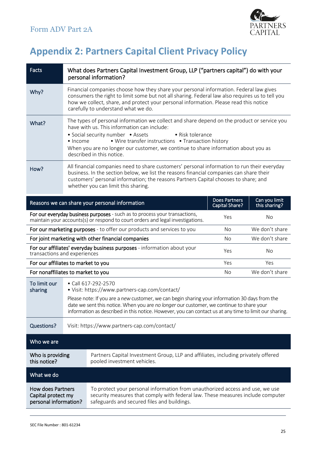

# <span id="page-24-0"></span>**Appendix 2: Partners Capital Client Privacy Policy**

| Facts                                                                                                                                                                     | What does Partners Capital Investment Group, LLP ("partners capital") do with your<br>personal information?                                                                                                                                                                                                                                                                                      |                                                                                                                                                                                                                 |                                               |                                |
|---------------------------------------------------------------------------------------------------------------------------------------------------------------------------|--------------------------------------------------------------------------------------------------------------------------------------------------------------------------------------------------------------------------------------------------------------------------------------------------------------------------------------------------------------------------------------------------|-----------------------------------------------------------------------------------------------------------------------------------------------------------------------------------------------------------------|-----------------------------------------------|--------------------------------|
| Why?                                                                                                                                                                      | Financial companies choose how they share your personal information. Federal law gives<br>consumers the right to limit some but not all sharing. Federal law also requires us to tell you<br>how we collect, share, and protect your personal information. Please read this notice<br>carefully to understand what we do.                                                                        |                                                                                                                                                                                                                 |                                               |                                |
| What?                                                                                                                                                                     | The types of personal information we collect and share depend on the product or service you<br>have with us. This information can include:<br>• Social security number • Assets<br>• Risk tolerance<br>• Wire transfer instructions • Transaction history<br>$\bullet$ Income<br>When you are no longer our customer, we continue to share information about you as<br>described in this notice. |                                                                                                                                                                                                                 |                                               |                                |
| How?                                                                                                                                                                      | All financial companies need to share customers' personal information to run their everyday<br>business. In the section below, we list the reasons financial companies can share their<br>customers' personal information; the reasons Partners Capital chooses to share; and<br>whether you can limit this sharing.                                                                             |                                                                                                                                                                                                                 |                                               |                                |
|                                                                                                                                                                           |                                                                                                                                                                                                                                                                                                                                                                                                  | Reasons we can share your personal information                                                                                                                                                                  | <b>Does Partners</b><br><b>Capital Share?</b> | Can you limit<br>this sharing? |
| For our everyday business purposes - such as to process your transactions,<br>No<br>Yes<br>maintain your accounts(s) or respond to court orders and legal investigations. |                                                                                                                                                                                                                                                                                                                                                                                                  |                                                                                                                                                                                                                 |                                               |                                |
| For our marketing purposes - to offer our products and services to you<br>No                                                                                              |                                                                                                                                                                                                                                                                                                                                                                                                  |                                                                                                                                                                                                                 |                                               | We don't share                 |
| For joint marketing with other financial companies                                                                                                                        |                                                                                                                                                                                                                                                                                                                                                                                                  |                                                                                                                                                                                                                 | No                                            | We don't share                 |
| For our affiliates' everyday business purposes - information about your<br>transactions and experiences                                                                   |                                                                                                                                                                                                                                                                                                                                                                                                  |                                                                                                                                                                                                                 | Yes                                           | No                             |
| For our affiliates to market to you                                                                                                                                       |                                                                                                                                                                                                                                                                                                                                                                                                  | Yes                                                                                                                                                                                                             | Yes                                           |                                |
| For nonaffiliates to market to you                                                                                                                                        |                                                                                                                                                                                                                                                                                                                                                                                                  |                                                                                                                                                                                                                 | No.                                           | We don't share                 |
| To limit our<br>sharing                                                                                                                                                   | • Call 617-292-2570<br>• Visit: https://www.partners-cap.com/contact/<br>Please note: If you are a new customer, we can begin sharing your information 30 days from the<br>date we sent this notice. When you are no longer our customer, we continue to share your<br>information as described in this notice. However, you can contact us at any time to limit our sharing.                    |                                                                                                                                                                                                                 |                                               |                                |
| <b>Questions?</b>                                                                                                                                                         | Visit: https://www.partners-cap.com/contact/                                                                                                                                                                                                                                                                                                                                                     |                                                                                                                                                                                                                 |                                               |                                |
| Who we are                                                                                                                                                                |                                                                                                                                                                                                                                                                                                                                                                                                  |                                                                                                                                                                                                                 |                                               |                                |
| Who is providing<br>this notice?                                                                                                                                          |                                                                                                                                                                                                                                                                                                                                                                                                  | Partners Capital Investment Group, LLP and affiliates, including privately offered<br>pooled investment vehicles.                                                                                               |                                               |                                |
| What we do                                                                                                                                                                |                                                                                                                                                                                                                                                                                                                                                                                                  |                                                                                                                                                                                                                 |                                               |                                |
| How does Partners<br>Capital protect my<br>personal information?                                                                                                          |                                                                                                                                                                                                                                                                                                                                                                                                  | To protect your personal information from unauthorized access and use, we use<br>security measures that comply with federal law. These measures include computer<br>safeguards and secured files and buildings. |                                               |                                |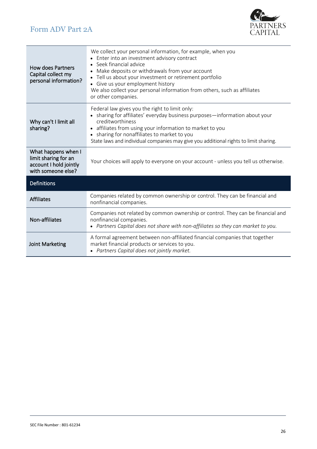

| <b>How does Partners</b><br>Capital collect my<br>personal information?                     | We collect your personal information, for example, when you<br>• Enter into an investment advisory contract<br>Seek financial advice<br>Make deposits or withdrawals from your account<br>Tell us about your investment or retirement portfolio<br>• Give us your employment history<br>We also collect your personal information from others, such as affiliates<br>or other companies. |  |
|---------------------------------------------------------------------------------------------|------------------------------------------------------------------------------------------------------------------------------------------------------------------------------------------------------------------------------------------------------------------------------------------------------------------------------------------------------------------------------------------|--|
| Why can't I limit all<br>sharing?                                                           | Federal law gives you the right to limit only:<br>• sharing for affiliates' everyday business purposes-information about your<br>creditworthiness<br>• affiliates from using your information to market to you<br>• sharing for nonaffiliates to market to you<br>State laws and individual companies may give you additional rights to limit sharing.                                   |  |
| What happens when I<br>limit sharing for an<br>account I hold jointly<br>with someone else? | Your choices will apply to everyone on your account - unless you tell us otherwise.                                                                                                                                                                                                                                                                                                      |  |
| <b>Definitions</b>                                                                          |                                                                                                                                                                                                                                                                                                                                                                                          |  |
| <b>Affiliates</b>                                                                           | Companies related by common ownership or control. They can be financial and<br>nonfinancial companies.                                                                                                                                                                                                                                                                                   |  |
| Non-affiliates                                                                              | Companies not related by common ownership or control. They can be financial and<br>nonfinancial companies.<br>• Partners Capital does not share with non-affiliates so they can market to you.                                                                                                                                                                                           |  |
| Joint Marketing                                                                             | A formal agreement between non-affiliated financial companies that together<br>market financial products or services to you.<br>• Partners Capital does not jointly market.                                                                                                                                                                                                              |  |